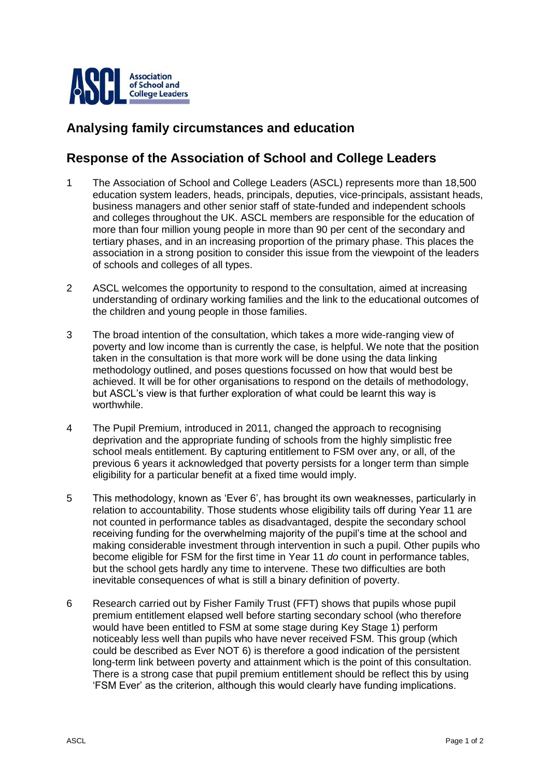

## **Analysing family circumstances and education**

## **Response of the Association of School and College Leaders**

- 1 The Association of School and College Leaders (ASCL) represents more than 18,500 education system leaders, heads, principals, deputies, vice-principals, assistant heads, business managers and other senior staff of state-funded and independent schools and colleges throughout the UK. ASCL members are responsible for the education of more than four million young people in more than 90 per cent of the secondary and tertiary phases, and in an increasing proportion of the primary phase. This places the association in a strong position to consider this issue from the viewpoint of the leaders of schools and colleges of all types.
- 2 ASCL welcomes the opportunity to respond to the consultation, aimed at increasing understanding of ordinary working families and the link to the educational outcomes of the children and young people in those families.
- 3 The broad intention of the consultation, which takes a more wide-ranging view of poverty and low income than is currently the case, is helpful. We note that the position taken in the consultation is that more work will be done using the data linking methodology outlined, and poses questions focussed on how that would best be achieved. It will be for other organisations to respond on the details of methodology, but ASCL's view is that further exploration of what could be learnt this way is worthwhile.
- 4 The Pupil Premium, introduced in 2011, changed the approach to recognising deprivation and the appropriate funding of schools from the highly simplistic free school meals entitlement. By capturing entitlement to FSM over any, or all, of the previous 6 years it acknowledged that poverty persists for a longer term than simple eligibility for a particular benefit at a fixed time would imply.
- 5 This methodology, known as 'Ever 6', has brought its own weaknesses, particularly in relation to accountability. Those students whose eligibility tails off during Year 11 are not counted in performance tables as disadvantaged, despite the secondary school receiving funding for the overwhelming majority of the pupil's time at the school and making considerable investment through intervention in such a pupil. Other pupils who become eligible for FSM for the first time in Year 11 *do* count in performance tables, but the school gets hardly any time to intervene. These two difficulties are both inevitable consequences of what is still a binary definition of poverty.
- 6 Research carried out by Fisher Family Trust (FFT) shows that pupils whose pupil premium entitlement elapsed well before starting secondary school (who therefore would have been entitled to FSM at some stage during Key Stage 1) perform noticeably less well than pupils who have never received FSM. This group (which could be described as Ever NOT 6) is therefore a good indication of the persistent long-term link between poverty and attainment which is the point of this consultation. There is a strong case that pupil premium entitlement should be reflect this by using 'FSM Ever' as the criterion, although this would clearly have funding implications.